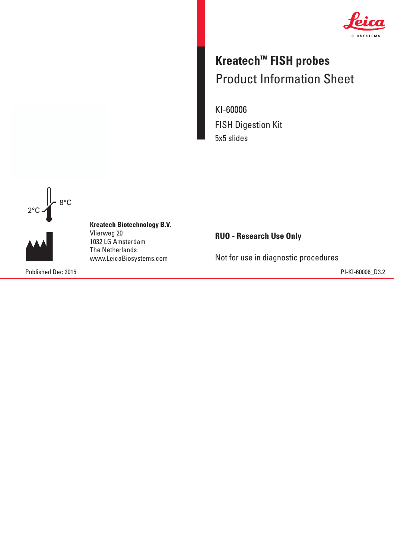

## **Kreatech™ FISH probes** Product Information Sheet Product Information Sheet

KI-60006 FISH Digestion Kit 5x5 slides



**Kreatech Biotechnology B.V. Kreatech Biotechnology B.V.** Vlierweg 20 Vlierweg 20 1032 LG Amsterdam The Netherlands 1032 LG AmsterdamThe Netherlands www.LeicaBiosystems.com www.LeicaBiosystems.com

Published Dec 2015 PI-KI-60006\_D3.2

**RUO - Research Use Only**

Not for use in diagnostic procedures